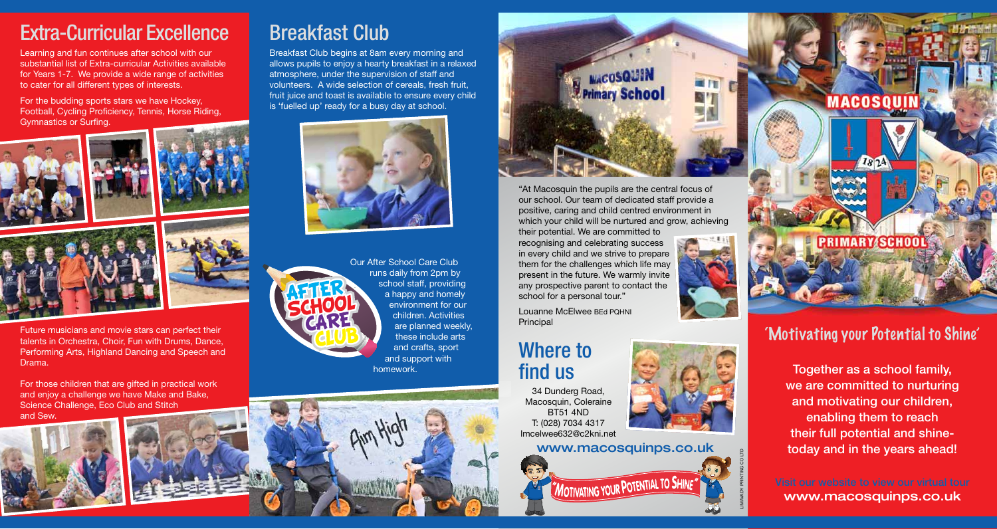### Extra-Curricular Excellence

Learning and fun continues after school with our substantial list of Extra-curricular Activities available for Years 1-7. We provide a wide range of activities to cater for all different types of interests.

For the budding sports stars we have Hockey, Football, Cycling Proficiency, Tennis, Horse Riding, Gymnastics or Surfing.



atmosphere, under the supervision of staff and volunteers. A wide selection of cereals, fresh fruit, fruit juice and toast is available to ensure every child is 'fuelled up' ready for a busy day at school.



Future musicians and movie stars can perfect their talents in Orchestra, Choir, Fun with Drums, Dance, Performing Arts, Highland Dancing and Speech and Drama.

For those children that are gifted in practical work and enjoy a challenge we have Make and Bake, Science Challenge, Eco Club and Stitch and Sew.





school staff, providing a happy and homely environment for our children. Activities are planned weekly, these include arts and crafts, sport and support with

"At Macosquin the pupils are the central focus of

**MACOSQUIN Primary School** 

our school. Our team of dedicated staff provide a positive, caring and child centred environment in which your child will be nurtured and grow, achieving

their potential. We are committed to recognising and celebrating success in every child and we strive to prepare them for the challenges which life may present in the future. We warmly invite any prospective parent to contact the school for a personal tour."

Louanne McElwee BEd PQHNI Principal

### Where to find us

34 Dunderg Road, Macosquin, Coleraine BT51 4ND T: (028) 7034 4317 lmcelwee632@c2kni.net

#### www.macosquinps.co.uk



LIMAVADY PRINTING CO LTD



#### 'Motivating your Potential to Shine'

**PRIMARY/SCHOOL** 

Together as a school family, we are committed to nurturing and motivating our children, enabling them to reach their full potential and shinetoday and in the years ahead!

www.macosquinps.co.uk